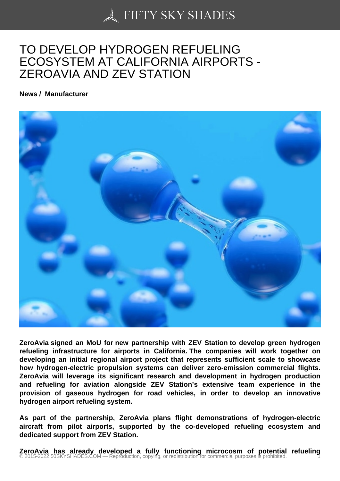## [TO DEVELOP HYDRO](https://50skyshades.com)GEN REFUELING ECOSYSTEM AT CALIFORNIA AIRPORTS - ZEROAVIA AND ZEV STATION

News / Manufacturer

ZeroAvia signed an MoU for new partnership with ZEV Station to develop green hydrogen refueling infrastructure for airports in California. The companies will work together on developing an initial regional airport project that represents sufficient scale to showcase how hydrogen-electric propulsion systems can deliver zero-emission commercial flights. ZeroAvia will leverage its significant research and development in hydrogen production and refueling for aviation alongside ZEV Station's extensive team experience in the provision of gaseous hydrogen for road vehicles, in order to develop an innovative hydrogen airport refueling system.

As part of the partnership, ZeroAvia plans flight demonstrations of hydrogen-electric aircraft from pilot airports, supported by the co-developed refueling ecosystem and dedicated support from ZEV Station.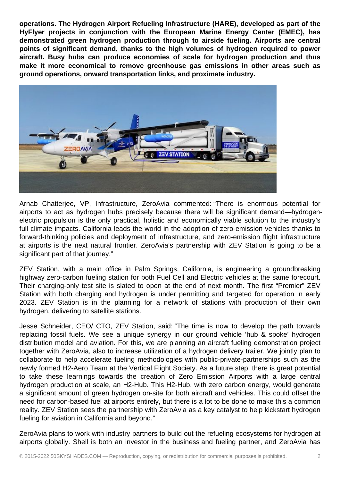**operations. The Hydrogen Airport Refueling Infrastructure (HARE), developed as part of the HyFlyer projects in conjunction with the European Marine Energy Center (EMEC), has demonstrated green hydrogen production through to airside fueling. Airports are central points of significant demand, thanks to the high volumes of hydrogen required to power aircraft. Busy hubs can produce economies of scale for hydrogen production and thus make it more economical to remove greenhouse gas emissions in other areas such as ground operations, onward transportation links, and proximate industry.**



Arnab Chatterjee, VP, Infrastructure, ZeroAvia commented: "There is enormous potential for airports to act as hydrogen hubs precisely because there will be significant demand—hydrogenelectric propulsion is the only practical, holistic and economically viable solution to the industry's full climate impacts. California leads the world in the adoption of zero-emission vehicles thanks to forward-thinking policies and deployment of infrastructure, and zero-emission flight infrastructure at airports is the next natural frontier. ZeroAvia's partnership with ZEV Station is going to be a significant part of that journey."

ZEV Station, with a main office in Palm Springs, California, is engineering a groundbreaking highway zero-carbon fueling station for both Fuel Cell and Electric vehicles at the same forecourt. Their charging-only test site is slated to open at the end of next month. The first "Premier" ZEV Station with both charging and hydrogen is under permitting and targeted for operation in early 2023. ZEV Station is in the planning for a network of stations with production of their own hydrogen, delivering to satellite stations.

Jesse Schneider, CEO/ CTO, ZEV Station, said: "The time is now to develop the path towards replacing fossil fuels. We see a unique synergy in our ground vehicle 'hub & spoke' hydrogen distribution model and aviation. For this, we are planning an aircraft fueling demonstration project together with ZeroAvia, also to increase utilization of a hydrogen delivery trailer. We jointly plan to collaborate to help accelerate fueling methodologies with public-private-partnerships such as the newly formed H2-Aero Team at the Vertical Flight Society. As a future step, there is great potential to take these learnings towards the creation of Zero Emission Airports with a large central hydrogen production at scale, an H2-Hub. This H2-Hub, with zero carbon energy, would generate a significant amount of green hydrogen on-site for both aircraft and vehicles. This could offset the need for carbon-based fuel at airports entirely, but there is a lot to be done to make this a common reality. ZEV Station sees the partnership with ZeroAvia as a key catalyst to help kickstart hydrogen fueling for aviation in California and beyond."

ZeroAvia plans to work with industry partners to build out the refueling ecosystems for hydrogen at airports globally. Shell is both an investor in the business and fueling partner, and ZeroAvia has